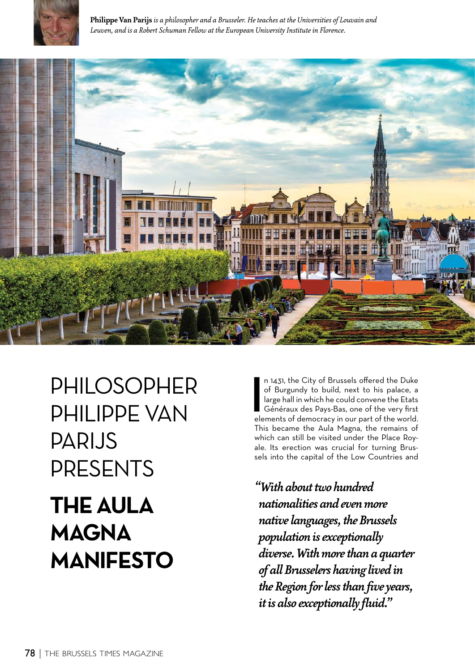

**Philippe Van Parijs** *is a philosopher and a Brusseler. He teaches at the Universities of Louvain and Leuven, and is a Robert Schuman Fellow at the European University Institute in Florence.*



## PHILOSOPHER PHILIPPE VAN PARIJS PRESENTS **THE AULA MAGNA MANIFESTO**

n 1431, the City of Brussels offered the Duke<br>of Burgundy to build, next to his palace, a<br>large hall in which he could convene the Etats<br>Généraux des Pays-Bas, one of the very first<br>elements of democracy in our part of the n 1431, the City of Brussels offered the Duke of Burgundy to build, next to his palace, a large hall in which he could convene the Etats Généraux des Pays-Bas, one of the very first This became the Aula Magna, the remains of which can still be visited under the Place Royale. Its erection was crucial for turning Brussels into the capital of the Low Countries and

*"With about two hundred nationalities and even more native languages, the Brussels population is exceptionally diverse. With more than a quarter of all Brusselers having lived in the Region for less than five years, it is also exceptionally fluid."*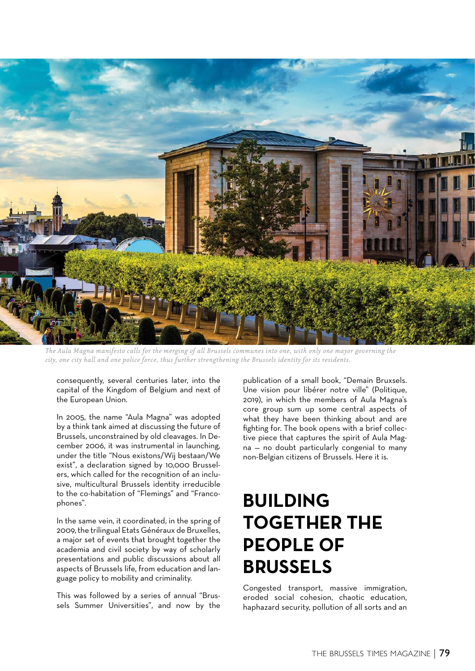

*The Aula Magna manifesto calls for the merging of all Brussels communes into one, with only one mayor governing the city, one city hall and one police force, thus further strengthening the Brussels identity for its residents.*

consequently, several centuries later, into the capital of the Kingdom of Belgium and next of the European Union.

In 2005, the name "Aula Magna" was adopted by a think tank aimed at discussing the future of Brussels, unconstrained by old cleavages. In December 2006, it was instrumental in launching, under the title "Nous existons/Wij bestaan/We exist", a declaration signed by 10,000 Brusselers, which called for the recognition of an inclusive, multicultural Brussels identity irreducible to the co-habitation of "Flemings" and "Francophones".

In the same vein, it coordinated, in the spring of 2009, the trilingual Etats Généraux de Bruxelles, a major set of events that brought together the academia and civil society by way of scholarly presentations and public discussions about all aspects of Brussels life, from education and language policy to mobility and criminality.

This was followed by a series of annual "Brussels Summer Universities", and now by the

publication of a small book, "Demain Bruxsels. .<br>Une vision pour libérer notre ville" (Politique, 2019), in which the members of Aula Magna's core group sum up some central aspects of what they have been thinking about and are fighting for. The book opens with a brief collective piece that captures the spirit of Aula Magna — no doubt particularly congenial to many non-Belgian citizens of Brussels. Here it is.

## **BUILDING TOGETHER THE PEOPLE OF BRUSSELS**

Congested transport, massive immigration, eroded social cohesion, chaotic education, haphazard security, pollution of all sorts and an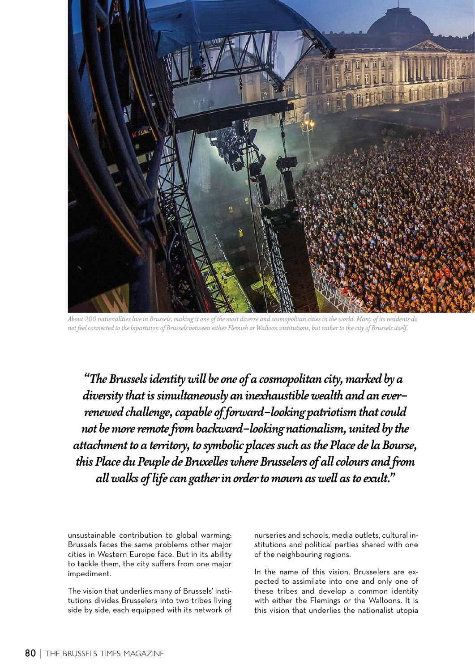

*About 200 nationalities live in Brussels, making it one of the most diverse and cosmopolitan cities in the world. Many of its residents do not feel connected to the bipartition of Brussels between either Flemish or Walloon institutions, but rather to the city of Brussels itself.*

*"The Brussels identity will be one of a cosmopolitan city, marked by a diversity that is simultaneously an inexhaustible wealth and an everrenewed challenge, capable of forward-looking patriotism that could not be more remote from backward-looking nationalism, united by the attachment to a territory, to symbolic places such as the Place de la Bourse, this Place du Peuple de Bruxelles where Brusselers of all colours and from all walks of life can gather in order to mourn as well as to exult."*

unsustainable contribution to global warming: Brussels faces the same problems other major cities in Western Europe face. But in its ability to tackle them, the city suffers from one major impediment.

The vision that underlies many of Brussels' institutions divides Brusselers into two tribes living side by side, each equipped with its network of nurseries and schools, media outlets, cultural institutions and political parties shared with one of the neighbouring regions.

In the name of this vision, Brusselers are expected to assimilate into one and only one of these tribes and develop a common identity with either the Flemings or the Walloons. It is this vision that underlies the nationalist utopia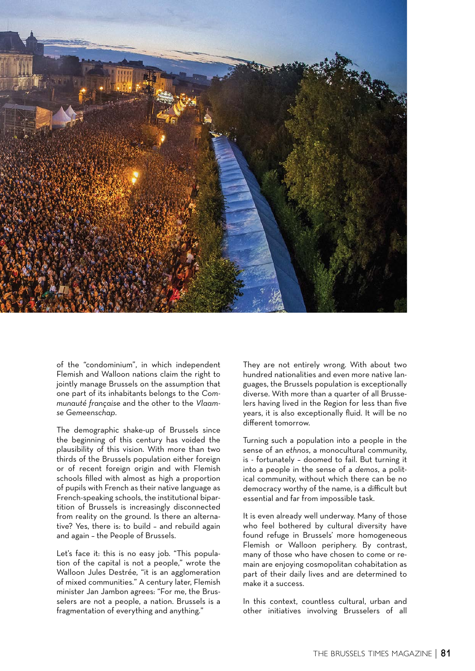

of the "condominium", in which independent Flemish and Walloon nations claim the right to jointly manage Brussels on the assumption that one part of its inhabitants belongs to the *Communauté française* and the other to the *Vlaamse Gemeenschap*.

The demographic shake-up of Brussels since the beginning of this century has voided the plausibility of this vision. With more than two thirds of the Brussels population either foreign or of recent foreign origin and with Flemish schools filled with almost as high a proportion of pupils with French as their native language as French-speaking schools, the institutional bipartition of Brussels is increasingly disconnected from reality on the ground. Is there an alternative? Yes, there is: to build – and rebuild again and again – the People of Brussels.

Let's face it: this is no easy job. "This population of the capital is not a people," wrote the Walloon Jules Destrée, "it is an agglomeration of mixed communities." A century later, Flemish minister Jan Jambon agrees: "For me, the Brusselers are not a people, a nation. Brussels is a fragmentation of everything and anything."

They are not entirely wrong. With about two hundred nationalities and even more native languages, the Brussels population is exceptionally diverse. With more than a quarter of all Brusselers having lived in the Region for less than five years, it is also exceptionally fluid. It will be no different tomorrow.

Turning such a population into a people in the sense of an *ethnos*, a monocultural community, is - fortunately – doomed to fail. But turning it into a people in the sense of a *demos*, a political community, without which there can be no democracy worthy of the name, is a difficult but essential and far from impossible task.

It is even already well underway. Many of those who feel bothered by cultural diversity have found refuge in Brussels' more homogeneous Flemish or Walloon periphery. By contrast, many of those who have chosen to come or remain are enjoying cosmopolitan cohabitation as part of their daily lives and are determined to make it a success.

In this context, countless cultural, urban and other initiatives involving Brusselers of all